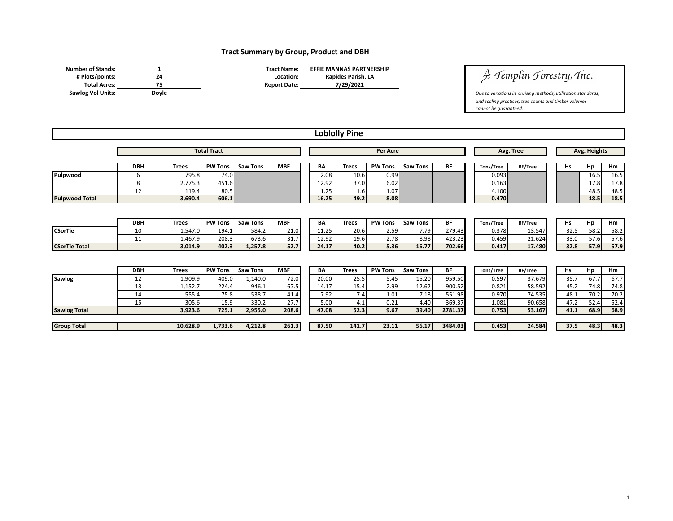## **Tract Summary by Group, Product and DBH**

| <b>Number of Stands:</b> |       | <b>Tract Name:</b>  |
|--------------------------|-------|---------------------|
| # Plots/points:          | 24    | Location:           |
| <b>Total Acres:</b>      | 75    | <b>Report Date:</b> |
| <b>Sawlog Vol Units:</b> | Dovle |                     |

| <b>Tract Name:</b>  | <b>EFFIE MANNAS PARTNERSHIP</b> |
|---------------------|---------------------------------|
| Location:           | Rapides Parish, LA              |
| <b>Report Date:</b> | 7/29/2021                       |

 $\frac{1}{2}$  Templin Forestry, Tnc.

**Sawlog Voltage Voltage Voltage Voltage Voltage Voltage Voltage Voltage Voltage Voltage Voltage Voltage Voltage Voltage Voltage Voltage Voltage Voltage Voltage Voltage Voltage Voltage Voltage Voltage Voltage Voltage Voltag** *and scaling practices, tree counts and timber volumes cannot be guaranteed.* 

|                       |                    |              |                |                 |            |           | <b>Loblolly Pine</b> |                |                 |           |                  |           |           |              |      |  |
|-----------------------|--------------------|--------------|----------------|-----------------|------------|-----------|----------------------|----------------|-----------------|-----------|------------------|-----------|-----------|--------------|------|--|
|                       | <b>Total Tract</b> |              |                |                 |            |           | <b>Per Acre</b>      |                |                 |           |                  | Avg. Tree |           | Avg. Heights |      |  |
|                       | <b>DBH</b>         | <b>Trees</b> | <b>PW Tons</b> | <b>Saw Tons</b> | <b>MBF</b> | BA        | <b>Trees</b>         | <b>PW Tons</b> | <b>Saw Tons</b> | BF        | Tons/Tree        | BF/Tree   | <b>Hs</b> | Hp           | Hm   |  |
| Pulpwood              | 6                  | 795.8        | 74.0           |                 |            | 2.08      | 10.6                 | 0.99           |                 |           | 0.093            |           |           | 16.5         | 16.5 |  |
|                       | 8                  | 2,775.3      | 451.6          |                 |            | 12.92     | 37.0                 | 6.02           |                 |           | 0.163            |           |           | 17.8         | 17.8 |  |
|                       | 12                 | 119.4        | 80.5           |                 |            | 1.25      | 1.6                  | 1.07           |                 |           | 4.100            |           |           | 48.5         | 48.5 |  |
| <b>Pulpwood Total</b> |                    | 3,690.4      | 606.1          |                 |            | 16.25     | 49.2                 | 8.08           |                 |           | 0.470            |           |           | 18.5         | 18.5 |  |
|                       | <b>DBH</b>         | <b>Trees</b> | <b>PW Tons</b> | <b>Saw Tons</b> | <b>MBF</b> | <b>BA</b> | <b>Trees</b>         | <b>PW Tons</b> | <b>Saw Tons</b> | <b>BF</b> | <b>Tons/Tree</b> | BF/Tree   | <b>Hs</b> | Hp           | Hm   |  |
| <b>CSorTie</b>        | 10                 | 1,547.0      | 194.1          | 584.2           | 21.0       | 11.25     | 20.6                 | 2.59           | 7.79            | 279.43    | 0.378            | 13.547    | 32.5      | 58.2         | 58.2 |  |
|                       | 11                 | 1,467.9      | 208.3          | 673.6           | 31.7       | 12.92     | 19.6                 | 2.78           | 8.98            | 423.23    | 0.459            | 21.624    | 33.0      | 57.6         | 57.6 |  |
| <b>CSorTie Total</b>  |                    | 3,014.9      | 402.3          | 1,257.8         | 52.7       | 24.17     | 40.2                 | 5.36           | 16.77           | 702.66    | 0.417            | 17.480    | 32.8      | 57.9         | 57.9 |  |
|                       |                    |              |                |                 |            |           |                      |                |                 |           |                  |           |           |              |      |  |
|                       | <b>DBH</b>         | <b>Trees</b> | <b>PW Tons</b> | <b>Saw Tons</b> | <b>MBF</b> | <b>BA</b> | <b>Trees</b>         | <b>PW Tons</b> | <b>Saw Tons</b> | BF        | Tons/Tree        | BF/Tree   | <b>Hs</b> | Hp           | Hm   |  |
| <b>Sawlog</b>         | 12                 | 1,909.9      | 409.0          | 1,140.0         | 72.0       | 20.00     | 25.5                 | 5.45           | 15.20           | 959.50    | 0.597            | 37.679    | 35.7      | 67.7         | 67.7 |  |
|                       | 13                 | 1,152.7      | 224.4          | 946.1           | 67.5       | 14.17     | 15.4                 | 2.99           | 12.62           | 900.52    | 0.821            | 58.592    | 45.2      | 74.8         | 74.8 |  |
|                       | 14                 | 555.4        | 75.8           | 538.7           | 41.4       | 7.92      | 7.4                  | 1.01           | 7.18            | 551.98    | 0.970            | 74.535    | 48.1      | 70.2         | 70.2 |  |
|                       | 15                 | 305.6        | 15.9           | 330.2           | 27.7       | 5.00      | 4.1                  | 0.21           | 4.40            | 369.37    | 1.081            | 90.658    | 47.2      | 52.4         | 52.4 |  |
| <b>Sawlog Total</b>   |                    | 3,923.6      | 725.1          | 2,955.0         | 208.6      | 47.08     | 52.3                 | 9.67           | 39.40           | 2781.37   | 0.753            | 53.167    | 41.1      | 68.9         | 68.9 |  |
| <b>Group Total</b>    |                    | 10,628.9     | 1,733.6        | 4,212.8         | 261.3      | 87.50     | 141.7                | 23.11          | 56.17           | 3484.03   | 0.453            | 24.584    | 37.5      | 48.3         | 48.3 |  |